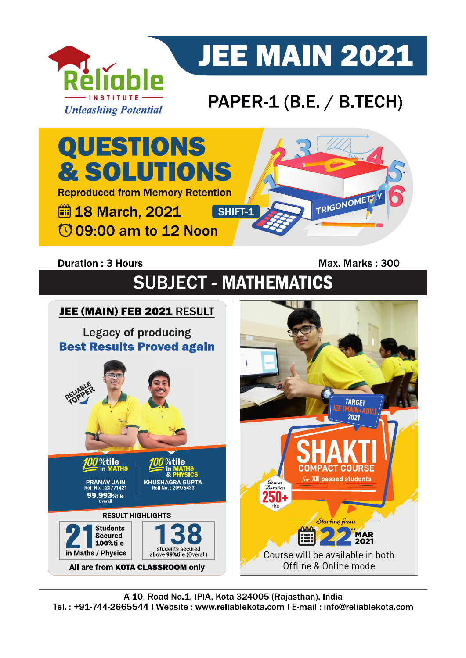

# **JEE MAIN 2021**

### PAPER-1 (B.E. / B.TECH)



### **Duration: 3 Hours**

Max. Marks: 300

## **SUBJECT - MATHEMATICS**

#### JEE (MAIN) FEB 2021 RESULT **Legacy of producing Best Results Proved again** JEE (MAIN) **TARGET** %tile %tile in MATHS **COMPACT COURSE** for XII passed students **PRANAV JAIN<br><sup>2</sup>0II No. : 20771421**  $\mathcal{D}_{uration}$ 99.993 %tile ЫΙ **RESULT HIGHLIGHTS** Starting from **Students nnn MAR**<br>2021 Secured E 100%tile students secured<br>above 99%tile (Overall) in Maths / Physics Course will be available in both Offline & Online mode All are from KOTA CLASSROOM only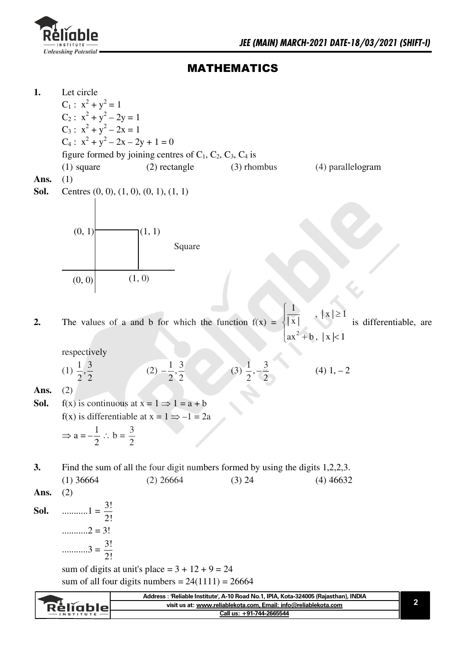

Réliable

### **MATHEMATICS**

 $1.$ Let circle  $C_1$ :  $x^2 + y^2 = 1$ C<sub>2</sub>:  $x^2 + y^2 - 2y = 1$  $C_3$ :  $x^2 + y^2 - 2x = 1$  $C_4$ :  $x^2 + y^2 - 2x - 2y + 1 = 0$ figure formed by joining centres of  $C_1$ ,  $C_2$ ,  $C_3$ ,  $C_4$  is  $(2)$  rectangle (4) parallelogram  $(1)$  square  $(3)$  rhombus Ans.  $(1)$ Sol. Centres  $(0, 0), (1, 0), (0, 1), (1, 1)$  $(0, 1)$  $(1, 1)$ Square  $(1, 0)$  $(0, 0)$  $\overline{|\mathbf{x}|}$ The values of a and b for which the function  $f(x) =$ is differentiable, are  $2.$  $ax^{2} + b$ , |x|<1 respectively  $(2) -\frac{1}{2}, \frac{3}{2}$ (3)  $\frac{1}{2}, -\frac{3}{2}$ (1)  $\frac{1}{2}, \frac{3}{2}$  $(4)$  1,  $-2$ Ans.  $(2)$  $f(x)$  is continuous at  $x = 1 \implies 1 = a + b$ Sol.  $f(x)$  is differentiable at  $x = 1 \implies -1 = 2a$  $\Rightarrow$  a =  $-\frac{1}{2}$  : b =  $\frac{3}{2}$ Find the sum of all the four digit numbers formed by using the digits 1,2,2,3.  $\overline{3}$ .  $(1)$  36664  $(2)$  26664  $(3)$  24  $(4)$  46632  $(2)$ Ans. Sol. ............2 = 3! sum of digits at unit's place =  $3 + 12 + 9 = 24$ sum of all four digits numbers =  $24(1111) = 26664$ 

Address : 'Reliable Institute', A-10 Road No.1, IPIA, Kota-324005 (Rajasthan), INDIA

visit us at: www.reliablekota.com, Email: info@reliablekota.com Call us: +91-744-2665544

 $\overline{\mathbf{2}}$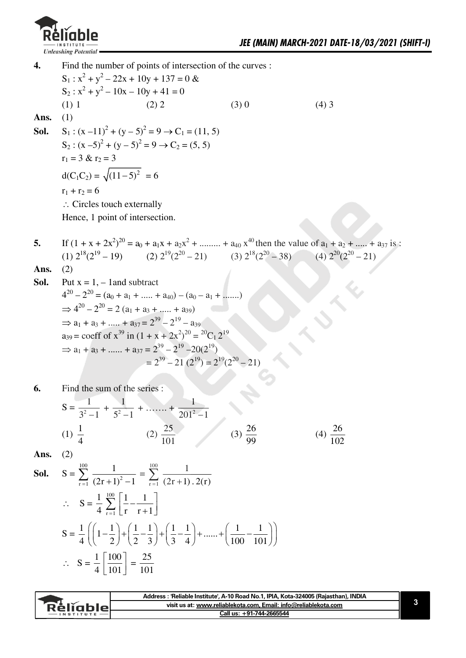

Find the number of points of intersection of the curves :  $\overline{4}$ .  $S_1: x^2 + y^2 - 22x + 10y + 137 = 0$  &  $S_2: x^2 + y^2 - 10x - 10y + 41 = 0$  $(1) 1$  $(2)$  2  $(3)0$  $(4)$  3 Ans.  $(1)$  $S_1$ :  $(x-11)^2 + (y-5)^2 = 9 \rightarrow C_1 = (11, 5)$ Sol.  $S_2$ :  $(x-5)^2 + (y-5)^2 = 9 \rightarrow C_2 = (5, 5)$  $r_1 = 3 & r_2 = 3$  $d(C_1C_2) = \sqrt{(11-5)^2} = 6$  $r_1 + r_2 = 6$  $\therefore$  Circles touch externally Hence, 1 point of intersection. If  $(1 + x + 2x^2)^{20} = a_0 + a_1x + a_2x^2 + \dots + a_{40}x^{40}$  then the value of  $a_1 + a_2 + \dots + a_{37}$  is : 5. (1)  $2^{18}(2^{19} - 19)$  (2)  $2^{19}(2^{20} - 21)$  (3)  $2^{18}(2^{20} - 38)$ (4)  $2^{20}(2^{20} - 21)$  $(2)$ Ans. Put  $x = 1, -1$  and subtract Sol.  $4^{20} - 2^{20} = (a_0 + a_1 + \dots + a_{40}) - (a_0 - a_1 + \dots)$  $\Rightarrow$  4<sup>20</sup> - 2<sup>20</sup> = 2 (a<sub>1</sub> + a<sub>3</sub> + ..... + a<sub>39</sub>)  $\Rightarrow$  a<sub>1</sub> + a<sub>3</sub> + ..... + a<sub>37</sub> =  $2^{39}$  –  $2^{19}$  – a<sub>39</sub>  $a_{39}$  = coeff of  $x^{39}$  in  $(1 + x + 2x^2)^{20} = {^{20}C_1 2^{19}}$  $\Rightarrow$  a<sub>1</sub> + a<sub>3</sub> + ...... + a<sub>37</sub> =  $2^{39} - 2^{19} - 20(2^{19})$  $= 2^{39} - 21 (2^{19}) = 2^{19} (2^{20} - 21)$ Find the sum of the series : 6.  $S = \frac{1}{3^2 - 1} + \frac{1}{5^2 - 1} + \dots + \frac{1}{201^2 - 1}$ (1)  $\frac{1}{4}$  (2)  $\frac{25}{101}$  (3)  $\frac{26}{99}$ (4)  $\frac{26}{102}$ 

Ans.  $(2)$ 

**Sol.** 
$$
S = \sum_{r=1}^{100} \frac{1}{(2r+1)^2 - 1} = \sum_{r=1}^{100} \frac{1}{(2r+1) \cdot 2(r)}
$$
  
\n
$$
\therefore S = \frac{1}{4} \sum_{r=1}^{100} \left[ \frac{1}{r} - \frac{1}{r+1} \right]
$$
  
\n
$$
S = \frac{1}{4} \left( \left( 1 - \frac{1}{2} \right) + \left( \frac{1}{2} - \frac{1}{3} \right) + \left( \frac{1}{3} - \frac{1}{4} \right) + \dots + \left( \frac{1}{100} - \frac{1}{101} \right) \right)
$$
  
\n
$$
\therefore S = \frac{1}{4} \left[ \frac{100}{101} \right] = \frac{25}{101}
$$

| <b>RéliableL</b><br>$-$ INSTITUTE | Address: 'Reliable Institute', A-10 Road No.1, IPIA, Kota-324005 (Rajasthan), INDIA |  |
|-----------------------------------|-------------------------------------------------------------------------------------|--|
|                                   | visit us at: www.reliablekota.com, Email: info@reliablekota.com                     |  |
|                                   | Call us: +91-744-2665544                                                            |  |
|                                   |                                                                                     |  |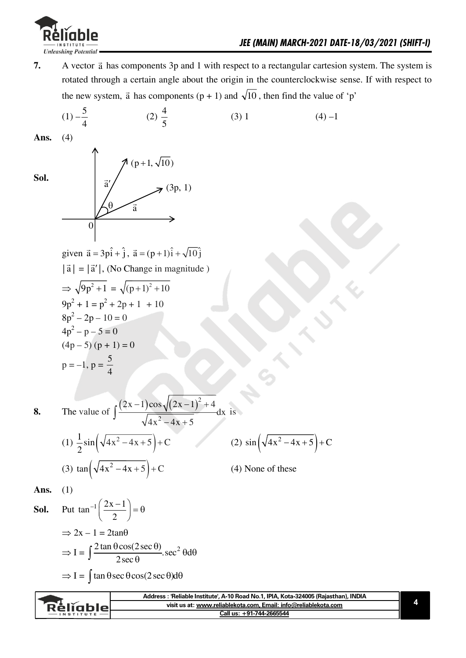

A vector  $\vec{a}$  has components 3p and 1 with respect to a rectangular cartesion system. The system is  $7.$ rotated through a certain angle about the origin in the counterclockwise sense. If with respect to the new system,  $\vec{a}$  has components (p + 1) and  $\sqrt{10}$ , then find the value of 'p'

(1) 
$$
-\frac{2}{4}
$$
 (2)  $\frac{4}{5}$  (3) 1 (4) -1  
\n**Ans.** (4)  
\n**Ans.** (4)  
\n
$$
\begin{array}{rcl}\n\frac{1}{3i} & \sqrt{(\mathbf{p}+1,\sqrt{10})} \\
& \frac{1}{3i} & \sqrt{(\mathbf{p}+1,\sqrt{10})} \\
& \frac{1}{3i} & = |\mathbf{a}'|, \text{ No Change in magnitude} \\
& \frac{1}{3}\sqrt{9\mathbf{p}^2+1} = \sqrt{(\mathbf{p}+1)^2+10}} \\
& \frac{1}{3}\mathbf{p}^2-2\mathbf{p}+1 & = \sqrt{(\mathbf{p}+1)^2+10} \\
& \frac{1}{3}\mathbf{p}^2-2\mathbf{p}-1 & = 0 \\
& \frac{1}{3}\mathbf{p}^2-2\mathbf{p}-1 & = 0 \\
& \frac{1}{3}\mathbf{p}^2-2\mathbf{p}-1 & = 0 \\
& \frac{1}{3}\mathbf{p}^2-2\mathbf{p}-1 & = 0 \\
& \frac{1}{3}\mathbf{p}^2-2\mathbf{p}-1 & = 0 \\
& \frac{1}{3}\mathbf{p}^2-2\mathbf{p}-1 & = 0 \\
& \frac{1}{3}\mathbf{p}^2-2\mathbf{p}-1 & = 0 \\
& \frac{1}{3}\mathbf{p}^2-2\mathbf{p}-1 & = 0 \\
& \frac{1}{3}\mathbf{p}^2-2\mathbf{p}-1 & = 0 \\
& \frac{1}{3}\mathbf{p}^2-2\mathbf{p}-1 & = 0 \\
& \frac{1}{3}\mathbf{p}^2-2\mathbf{p}-1 & = 0 \\
& \frac{1}{3}\mathbf{p}^2-2\mathbf{p}-1 & = 0 \\
& \frac{1}{3}\mathbf{p}^2-2\mathbf{p}^2 & = 0 \\
& \frac{1}{3}\mathbf{p}^2-2\mathbf{p}^2 & = 0 \\
& \frac{1}{3}\mathbf{p}^2-2\mathbf{p}^2 & = 0 \\
& \frac{1}{3}\mathbf{p}^2-2\mathbf{p}^2 & = 0 \\
& \frac{1}{3}\mathbf{p}^2-2\mathbf{p}^2 & = 0 \\
& \frac{1}{3}\mathbf{p}^2-
$$

4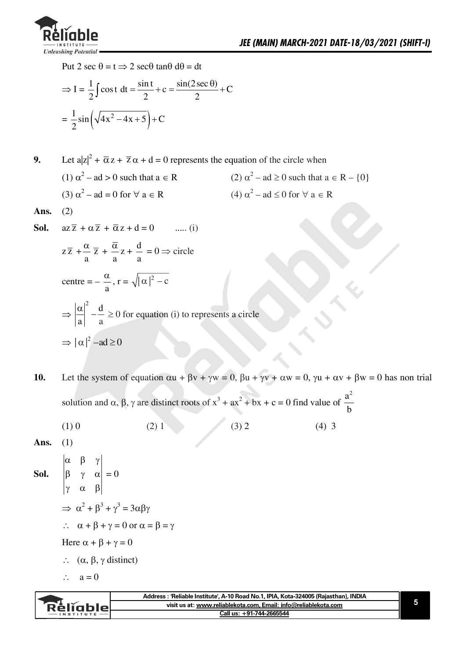

Put 2 sec  $\theta = t \implies 2$  sec $\theta$  tan $\theta$  d $\theta = dt$ 

$$
\Rightarrow I = \frac{1}{2} \int \cos t \, dt = \frac{\sin t}{2} + c = \frac{\sin(2 \sec \theta)}{2} + C
$$

$$
= \frac{1}{2} \sin \left( \sqrt{4x^2 - 4x + 5} \right) + C
$$

Let  $a|z|^2 + \overline{\alpha} z + \overline{z} \alpha + d = 0$  represents the equation of the circle when 9. (1)  $\alpha^2$  – ad > 0 such that  $a \in R$ (2)  $\alpha^2$  – ad  $\geq 0$  such that  $a \in R - \{0\}$ (3)  $\alpha^2$  – ad = 0 for  $\forall$  a  $\in$  R  $(4) \alpha^2$  – ad  $\leq 0$  for  $\forall$  a  $\in$  R Ans.  $(2)$  $az\overline{z} + \alpha \overline{z} + \overline{\alpha} z + d = 0$ Sol.  $\ldots$  (i)

$$
z\overline{z} + \frac{\alpha}{a}\overline{z} + \frac{\overline{\alpha}}{a}z + \frac{d}{a} = 0 \Rightarrow \text{circle}
$$
  
centre  $= -\frac{\alpha}{a}$ ,  $r = \sqrt{|\alpha|^2 - c}$   

$$
\Rightarrow \left|\frac{\alpha}{a}\right|^2 - \frac{d}{a} \ge 0 \text{ for equation (i) to represents a circle}
$$

$$
\Rightarrow |\alpha|^2 - ad \ge 0
$$

Let the system of equation  $\alpha u + \beta v + \gamma w = 0$ ,  $\beta u + \gamma v + \alpha w = 0$ ,  $\gamma u + \alpha v + \beta w = 0$  has non trial 10. solution and  $\alpha$ ,  $\beta$ ,  $\gamma$  are distinct roots of  $x^3 + ax^2 + bx + c = 0$  find value of  $\frac{a^2}{b}$ 

- $(1)0$  $(3) 2$  $(2)$  1  $(4)$  3
- Ans.  $(1)$
- $\begin{vmatrix} \alpha & \beta & \gamma \\ \beta & \gamma & \alpha \\ \gamma & \alpha & \beta \end{vmatrix} = 0$ Sol.  $\Rightarrow \alpha^2 + \beta^3 + \gamma^3 = 3\alpha\beta\gamma$  $\therefore$   $\alpha + \beta + \gamma = 0$  or  $\alpha = \beta = \gamma$ Here  $\alpha + \beta + \gamma = 0$  $\therefore$  ( $\alpha$ ,  $\beta$ ,  $\gamma$  distinct)
	- $\therefore$   $a = 0$

|               | Address : 'Reliable Institute', A-10 Road No.1, IPIA, Kota-324005 (Rajasthan), INDIA |  |
|---------------|--------------------------------------------------------------------------------------|--|
| RéliableL     | visit us at: www.reliablekota.com, Email: info@reliablekota.com                      |  |
| $INSTITUTE$ – | Call us: +91-744-2665544                                                             |  |
|               |                                                                                      |  |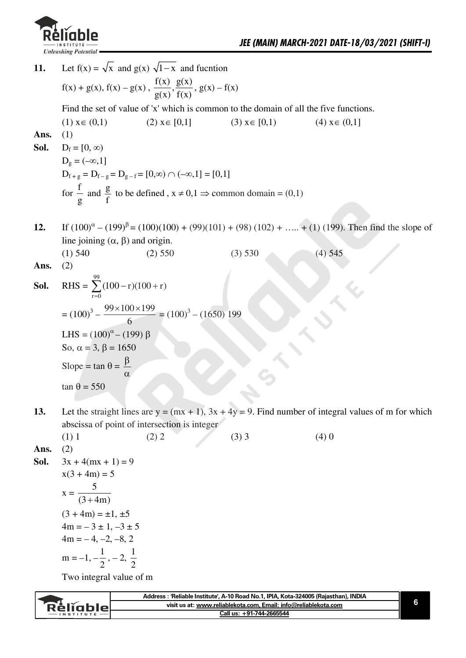

Let  $f(x) = \sqrt{x}$  and  $g(x)$   $\sqrt{1-x}$  and fucntion 11.  $f(x) + g(x), f(x) - g(x), \frac{f(x)}{g(x)}, \frac{g(x)}{f(x)}, g(x) - f(x)$ Find the set of value of 'x' which is common to the domain of all the five functions.  $(1)$   $x \in (0,1)$  $(2)$   $x \in [0,1]$  $(3)$   $x \in [0,1)$  $(4)$   $x \in (0,1]$ Ans.  $(1)$ Sol.  $D_f = [0, \infty)$  $D_g = (-\infty, 1]$  $D_{f+g} = D_{f-g} = D_{g-f} = [0,\infty) \cap (-\infty,1] = [0,1]$ for  $\frac{f}{g}$  and  $\frac{g}{f}$  to be defined,  $x \neq 0, 1 \Rightarrow$  common domain = (0,1) If  $(100)^{\alpha} - (199)^{\beta} = (100)(100) + (99)(101) + (98)(102) + \dots + (1)(199)$ . Then find the slope of  $12.$ line joining  $(\alpha, \beta)$  and origin.  $(1)$  540  $(3) 530$  $(2)$  550  $(4)$  545  $(2)$ Ans. RHS =  $\sum_{r=1}^{99} (100 - r)(100 + r)$ Sol.  $= (100)^3 - \frac{99 \times 100 \times 199}{6} = (100)^3 - (1650) 199$ LHS =  $(100)^{\alpha}$  –  $(199)$   $\beta$ So,  $\alpha = 3$ ,  $\beta = 1650$ Slope = tan  $\theta = \frac{\beta}{\alpha}$  $\tan \theta = 550$ Let the straight lines are  $y = (mx + 1)$ ,  $3x + 4y = 9$ . Find number of integral values of m for which 13. abscissa of point of intersection is integer  $(1)$  1  $(2) 2$  $(3)$  3  $(4)0$ Ans.  $(2)$  $3x + 4(mx + 1) = 9$ Sol.

 $x(3 + 4m) = 5$  $x = \frac{5}{(3+4m)}$  $(3 + 4m) = \pm 1, \pm 5$  $4m = -3 \pm 1, -3 \pm 5$  $4m = -4, -2, -8, 2$  $m = -1, -\frac{1}{2}, -2, \frac{1}{2}$ 

Two integral value of m

| Reliable<br>$-$ INSTITUTE | Address : 'Reliable Institute', A-10 Road No.1, IPIA, Kota-324005 (Rajasthan), INDIA |  |
|---------------------------|--------------------------------------------------------------------------------------|--|
|                           | visit us at: www.reliablekota.com. Email: info@reliablekota.com                      |  |
|                           | Call us: +91-744-2665544                                                             |  |
|                           |                                                                                      |  |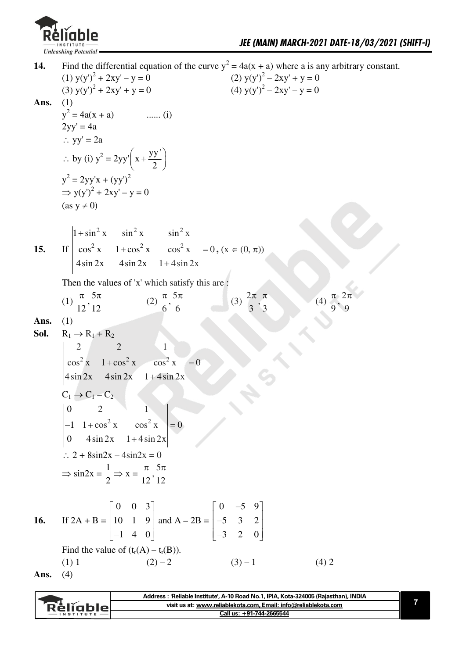

Find the differential equation of the curve  $y^2 = 4a(x + a)$  where a is any arbitrary constant. 14. (1)  $y(y')^2 + 2xy' - y = 0$  $(2) y(y')^2 - 2xy' + y = 0$ (3)  $y(y')^2 + 2xy' + y = 0$ (4)  $y(y')^2 - 2xy' - y = 0$  $(1)$ Ans.  $y^2 = 4a(x + a)$ ....... (i)  $2yy' = 4a$  $\therefore$  yy' = 2a  $\therefore$  by (i)  $y^2 = 2yy'\left(x + \frac{yy'}{2}\right)$  $y^2 = 2yy'x + (yy')^2$  $\Rightarrow$  y(y')<sup>2</sup> + 2xy' - y = 0  $(as y \neq 0)$ If  $\begin{vmatrix} 1 + \sin^2 x & \sin^2 x & \sin^2 x \\ \cos^2 x & 1 + \cos^2 x & \cos^2 x \\ 4 \sin 2x & 4 \sin 2x & 1 + 4 \sin 2x \end{vmatrix} = 0$ ,  $(x \in (0, \pi))$  $15.$ Then the values of 'x' which satisfy this are : (1)  $\frac{\pi}{12}, \frac{5\pi}{12}$  (2)  $\frac{\pi}{6}, \frac{5\pi}{6}$ (3)  $\frac{2\pi}{3}, \frac{\pi}{3}$ Ans.  $(1)$ Sol.  $R_1 \rightarrow R_1 + R_2$  $\begin{vmatrix} 2 & 2 & 1 \\ \cos^2 x & 1 + \cos^2 x & \cos^2 x \\ 4 \sin 2x & 4 \sin 2x & 1 + 4 \sin 2x \end{vmatrix}$  $\begin{array}{|c|c|c|}\n\hline\n2 & 2 \\
\hline\n\end{array}$  $= 0$  $C_1 \rightarrow C_1 - C_2$  $\begin{vmatrix} 0 & 2 & 1 \\ -1 & 1 + \cos^2 x & \cos^2 x \\ 0 & 4 \sin 2x & 1 + 4 \sin 2x \end{vmatrix} = 0$  $\therefore 2 + 8\sin 2x - 4\sin 2x = 0$  $\Rightarrow$  sin2x =  $\frac{1}{2}$   $\Rightarrow$  x =  $\frac{\pi}{12}, \frac{5\pi}{12}$ If  $2A + B = \begin{bmatrix} 0 & 0 & 3 \\ 10 & 1 & 9 \\ -1 & 4 & 0 \end{bmatrix}$  and  $A - 2B = \begin{bmatrix} 0 & -5 & 9 \\ -5 & 3 & 2 \\ -3 & 2 & 0 \end{bmatrix}$ 16. Find the value of  $(t_r(A) - t_r(B))$ .  $(2) - 2$  $(3) - 1$  $(1) 1$  $(4) 2$  $(4)$ Ans.

|                 | Address : 'Reliable Institute', A-10 Road No.1, IPIA, Kota-324005 (Rajasthan), INDIA |  |
|-----------------|--------------------------------------------------------------------------------------|--|
| <b>Rèliable</b> | visit us at: www.reliablekota.com, Email: info@reliablekota.com                      |  |
| $-$ INSTITUTE   | Call us: +91-744-2665544                                                             |  |
|                 |                                                                                      |  |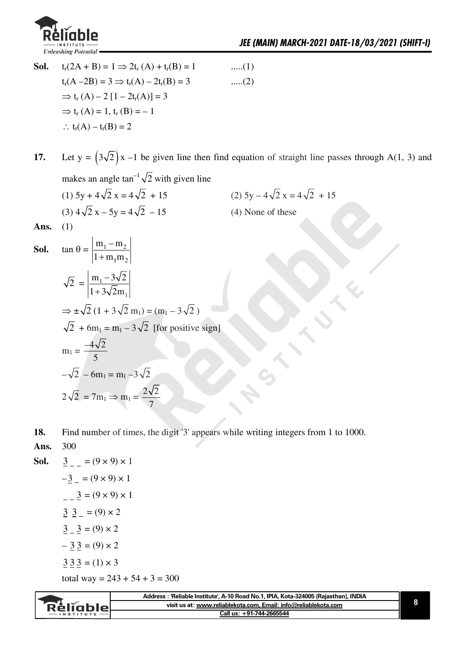

**Sol.**  $t_r(2A + B) = 1 \Rightarrow 2t_r(A) + t_r(B) = 1$  .....(1)  $t_r(A-2B) = 3 \implies t_r(A) - 2t_r(B) = 3$  .....(2)  $\Rightarrow$  t<sub>r</sub>(A) – 2[1 – 2t<sub>r</sub>(A)] = 3  $\Rightarrow$  t<sub>r</sub> (A) = 1, t<sub>r</sub> (B) = -1  $\therefore$  t<sub>r</sub>(A) – t<sub>r</sub>(B) = 2

**17.** Let  $y = (3\sqrt{2})x - 1$  be given line then find equation of straight line passes through A(1, 3) and makes an angle  $\tan^{-1}\sqrt{2}$  with given line

(1)  $5y + 4\sqrt{2}x = 4\sqrt{2} + 15$ <br>(2)  $5y - 4\sqrt{2}x = 4\sqrt{2} + 15$ (3)  $4\sqrt{2}$  x - 5y =  $4\sqrt{2}$  - 15 (4) None of these

Ans.  $(1)$ 

**Sol.** 
$$
\tan \theta = \left| \frac{m_1 - m_2}{1 + m_1 m_2} \right|
$$
  
\n $\sqrt{2} = \left| \frac{m_1 - 3\sqrt{2}}{1 + 3\sqrt{2}m_1} \right|$   
\n $\Rightarrow \pm \sqrt{2} (1 + 3\sqrt{2} m_1) = (m_1 - 3\sqrt{2})$   
\n $\sqrt{2} + 6m_1 = m_1 - 3\sqrt{2}$  [for positive sign]  
\n $m_1 = \frac{-4\sqrt{2}}{5}$   
\n $-\sqrt{2} - 6m_1 = m_1 - 3\sqrt{2}$   
\n $2\sqrt{2} = 7m_1 \Rightarrow m_1 = \frac{2\sqrt{2}}{7}$ 

- **18.** Find number of times, the digit '3' appears while writing integers from 1 to 1000.
- **Ans.** 300

**Sol.** 
$$
\begin{aligned}\n\frac{3}{2} &= (9 \times 9) \times 1 \\
- \frac{3}{2} &= (9 \times 9) \times 1 \\
- \frac{3}{2} &= (9 \times 9) \times 1 \\
\frac{3}{2} &= (9) \times 2 \\
\frac{3}{2} &= (9) \times 2 \\
- \frac{3}{2} &= (9) \times 2 \\
\frac{3}{2} &= (1) \times 3 \\
\text{total way} &= 243 + 54 + 3 = 300\n\end{aligned}
$$

| Rěliablel<br>$-$ INSTITUTE | 'Reliable Institute', A-10 Road No.1, IPIA, Kota-324005 (Rajasthan), INDIA |  |
|----------------------------|----------------------------------------------------------------------------|--|
|                            | visit us at: www.reliablekota.com, Email: info@reliablekota.com            |  |
|                            | Call us: +91-744-2665544                                                   |  |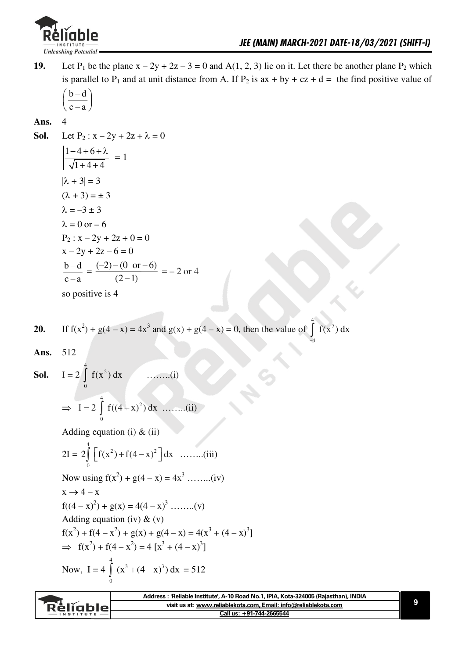

Let P<sub>1</sub> be the plane  $x - 2y + 2z - 3 = 0$  and A(1, 2, 3) lie on it. Let there be another plane P<sub>2</sub> which 19. is parallel to P<sub>1</sub> and at unit distance from A. If P<sub>2</sub> is  $ax + by + cz + d =$  the find positive value of

$$
\left(\frac{b-d}{c-a}\right)
$$

Ans.

 $\overline{\mathbf{A}}$ 

Let P<sub>2</sub>:  $x - 2y + 2z + \lambda = 0$ Sol.  $\left|\frac{1-4+6+\lambda}{\sqrt{1+4+4}}\right|=1$  $|\lambda + 3| = 3$  $(\lambda + 3) = \pm 3$  $\lambda = -3 \pm 3$  $\lambda = 0$  or  $-6$  $P_2$ :  $x - 2y + 2z + 0 = 0$  $x - 2y + 2z - 6 = 0$  $\frac{b-d}{c-a} = \frac{(-2) - (0 \text{ or } -6)}{(2-1)} = -2 \text{ or } 4$ so positive is 4

**20.** If 
$$
f(x^2) + g(4 - x) = 4x^3
$$
 and  $g(x) + g(4 - x) = 0$ , then the value of  $\int f(x^2) dx$ 

512 Ans.

 $I = 2 \int_{0}^{1} f(x^{2}) dx$  $\ldots$  ...  $(i)$ Sol.  $\Rightarrow I = 2 \int_0^4 f((4-x)^2) dx$  ........(ii)

Adding equation (i)  $\&$  (ii)

 $2I = 2 \int_{0}^{4} \left[ f(x^2) + f(4-x)^2 \right] dx$  ........(iii) Now using  $f(x^2) + g(4 - x) = 4x^3$  ........(iv)  $x \rightarrow 4-x$  $f((4 - x)^2) + g(x) - 4(4 - x)^3$  $(x)$ 

Adding equation (iv) & (v)  
\nAdding equation (iv) & (v)  
\n
$$
f(x^2) + f(4 - x^2) + g(x) + g(4 - x) = 4(x^3 + (4 - x)^3)
$$
\n⇒ 
$$
f(x^2) + f(4 - x^2) = 4[x^3 + (4 - x)^3]
$$
\nNow, I = 4  $\int_0^4 (x^3 + (4 - x)^3) dx = 512$ 

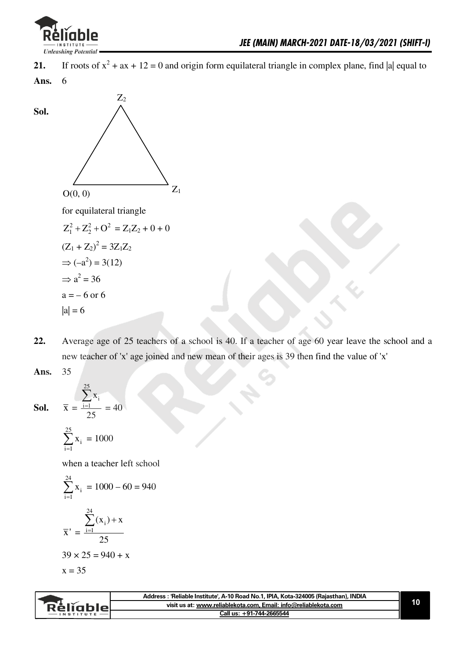

If roots of  $x^2 + ax + 12 = 0$  and origin form equilateral triangle in complex plane, find |a| equal to  $21.$ 

Ans. 6



- Average age of 25 teachers of a school is 40. If a teacher of age 60 year leave the school and a  $22.$ new teacher of 'x' age joined and new mean of their ages is 39 then find the value of 'x'
- 35 Ans.

**Sol.** 
$$
\overline{x} = \frac{\sum_{i=1}^{20} x_i}{25} = 40
$$

 $|a| = 6$ 

$$
\sum_{i=1}^{25} x_i = 1000
$$

when a teacher left school

$$
\sum_{i=1}^{24} x_i = 1000 - 60 = 940
$$
  

$$
\overline{x}' = \frac{\sum_{i=1}^{24} (x_i) + x}{25}
$$
  
39 × 25 = 940 + x  
x = 35

| Address: 'Reliable Institute', A-10 Road No.1, IPIA, Kota-324005 (Rajasthan), INDIA |  |
|-------------------------------------------------------------------------------------|--|
| visit us at: www.reliablekota.com, Email: info@reliablekota.com<br><b>Religbie</b>  |  |
| Call us: +91-744-2665544                                                            |  |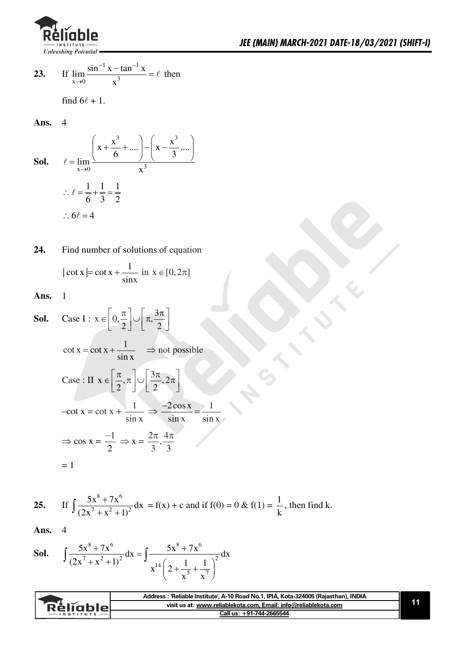

23. If 
$$
\lim_{x \to 0} \frac{\sin^{-1} x - \tan^{-1} x}{x^3} = \ell
$$
 then

find 
$$
6\ell + 1
$$
.

**Ans.** 4

**Sol.** 
$$
\ell = \lim_{x \to 0} \frac{\left(x + \frac{x^3}{6} + \dots\right) - \left(x - \frac{x^3}{3} \dots\right)}{x^3}
$$

$$
\therefore \ell = \frac{1}{6} + \frac{1}{3} = \frac{1}{2}
$$

$$
\therefore 6\ell = 4
$$

$$
|\cot x| = \cot x + \frac{1}{\sin x} \text{ in } x \in [0, 2\pi]
$$

Ans.  $1$ 

**Sol.** Case I: 
$$
x \in \left[0, \frac{\pi}{2}\right] \cup \left[\pi, \frac{3\pi}{2}\right]
$$
  
\n $\cot x = \cot x + \frac{1}{\sin x} \implies \text{not possible}$   
\nCase: II  $x \in \left[\frac{\pi}{2}, \pi\right] \cup \left[\frac{3\pi}{2}, 2\pi\right]$   
\n $-\cot x = \cot x + \frac{1}{\sin x} \implies \frac{-2\cos x}{\sin x} = \frac{1}{\sin x}$   
\n $\implies \cos x = \frac{-1}{2} \implies x = \frac{2\pi}{3}, \frac{4\pi}{3}$   
\n $= 1$ 

25. If 
$$
\int \frac{5x^8 + 7x^6}{(2x^7 + x^2 + 1)^2} dx = f(x) + c
$$
 and if  $f(0) = 0$  &  $f(1) = \frac{1}{k}$ , then find k.

**Ans.** 4

**Sol.** 
$$
\int \frac{5x^8 + 7x^6}{(2x^7 + x^2 + 1)^2} dx = \int \frac{5x^8 + 7x^6}{x^{14} \left(2 + \frac{1}{x^5} + \frac{1}{x^7}\right)^2} dx
$$

|           | Address: 'Reliable Institute', A-10 Road No.1, IPIA, Kota-324005 (Rajasthan), INDIA |  |
|-----------|-------------------------------------------------------------------------------------|--|
| Rèliablel | visit us at: www.reliablekota.com. Email: info@reliablekota.com                     |  |
|           | Call us: +91-744-2665544                                                            |  |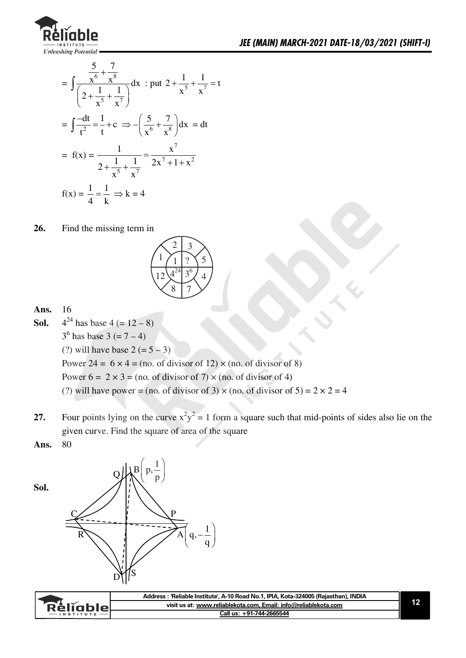

$$
= \int \frac{\frac{5}{x^{6}} + \frac{7}{x^{8}}}{\left(2 + \frac{1}{x^{5}} + \frac{1}{x^{7}}\right)} dx : \text{put } 2 + \frac{1}{x^{5}} + \frac{1}{x^{7}} = t
$$
\n
$$
= \int \frac{-dt}{t^{2}} = \frac{1}{t} + c \implies -\left(\frac{5}{x^{6}} + \frac{7}{x^{8}}\right) dx = dt
$$
\n
$$
= f(x) = \frac{1}{2 + \frac{1}{x^{5}} + \frac{1}{x^{7}}} = \frac{x^{7}}{2x^{7} + 1 + x^{2}}
$$
\n
$$
f(x) = \frac{1}{4} = \frac{1}{k} \implies k = 4
$$

26. Find the missing term in



### **Ans.** 16

**Sol.**  $4^{24}$  has base  $4 (= 12 - 8)$ 

 $3^6$  has base  $3 (= 7 - 4)$ 

(?) will have base  $2 (= 5 - 3)$ 

Power 24 =  $6 \times 4$  = (no. of divisor of 12)  $\times$  (no. of divisor of 8)

Power  $6 = 2 \times 3 = (no. of divisor of 7) \times (no. of divisor of 4)$ 

(?) will have power = (no. of divisor of 3)  $\times$  (no. of divisor of 5) = 2  $\times$  2 = 4

- **27.** Four points lying on the curve  $x^2y^2 = 1$  form a square such that mid-points of sides also lie on the given curve. Find the square of area of the square
- **Ans.** 80





| <b>Relignie</b><br>$-$ INSTITUTE | Address : 'Reliable Institute', A-10 Road No.1, IPIA, Kota-324005 (Rajasthan), INDIA |  |
|----------------------------------|--------------------------------------------------------------------------------------|--|
|                                  | visit us at: www.reliablekota.com, Email: info@reliablekota.com                      |  |
|                                  | Call us: +91-744-2665544                                                             |  |